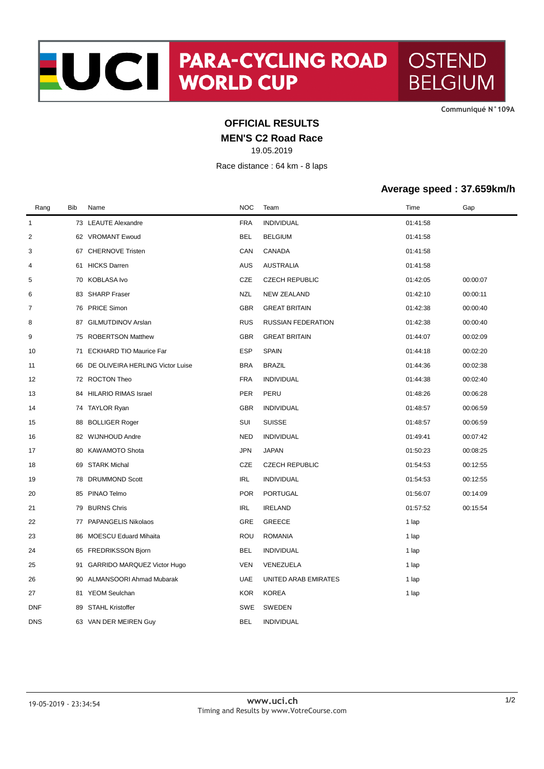**CommuniquÈ N°109A**

## **OFFICIAL RESULTS**

**MEN'S C2 Road Race**

19.05.2019

Race distance : 64 km - 8 laps

## **Average speed : 37.659km/h**

| Rang         | <b>Bib</b> | Name                                | <b>NOC</b> | Team                      | Time     | Gap      |
|--------------|------------|-------------------------------------|------------|---------------------------|----------|----------|
| $\mathbf{1}$ |            | 73 LEAUTE Alexandre                 | <b>FRA</b> | <b>INDIVIDUAL</b>         | 01:41:58 |          |
| 2            |            | 62 VROMANT Ewoud                    | <b>BEL</b> | <b>BELGIUM</b>            | 01:41:58 |          |
| 3            |            | 67 CHERNOVE Tristen                 | CAN        | CANADA                    | 01:41:58 |          |
| 4            | 61         | <b>HICKS Darren</b>                 | <b>AUS</b> | <b>AUSTRALIA</b>          | 01:41:58 |          |
| 5            |            | 70 KOBLASA Ivo                      | CZE        | <b>CZECH REPUBLIC</b>     | 01:42:05 | 00:00:07 |
| 6            | 83         | <b>SHARP Fraser</b>                 | <b>NZL</b> | <b>NEW ZEALAND</b>        | 01:42:10 | 00:00:11 |
| 7            |            | 76 PRICE Simon                      | <b>GBR</b> | <b>GREAT BRITAIN</b>      | 01:42:38 | 00:00:40 |
| 8            | 87         | <b>GILMUTDINOV Arslan</b>           | <b>RUS</b> | <b>RUSSIAN FEDERATION</b> | 01:42:38 | 00:00:40 |
| 9            | 75         | <b>ROBERTSON Matthew</b>            | <b>GBR</b> | <b>GREAT BRITAIN</b>      | 01:44:07 | 00:02:09 |
| 10           | 71         | <b>ECKHARD TIO Maurice Far</b>      | <b>ESP</b> | <b>SPAIN</b>              | 01:44:18 | 00:02:20 |
| 11           |            | 66 DE OLIVEIRA HERLING Victor Luise | <b>BRA</b> | <b>BRAZIL</b>             | 01:44:36 | 00:02:38 |
| 12           |            | 72 ROCTON Theo                      | <b>FRA</b> | <b>INDIVIDUAL</b>         | 01:44:38 | 00:02:40 |
| 13           |            | 84 HILARIO RIMAS Israel             | <b>PER</b> | PERU                      | 01:48:26 | 00:06:28 |
| 14           | 74         | TAYLOR Ryan                         | <b>GBR</b> | <b>INDIVIDUAL</b>         | 01:48:57 | 00:06:59 |
| 15           | 88         | <b>BOLLIGER Roger</b>               | SUI        | <b>SUISSE</b>             | 01:48:57 | 00:06:59 |
| 16           |            | 82 WIJNHOUD Andre                   | <b>NED</b> | <b>INDIVIDUAL</b>         | 01:49:41 | 00:07:42 |
| 17           |            | 80 KAWAMOTO Shota                   | <b>JPN</b> | <b>JAPAN</b>              | 01:50:23 | 00:08:25 |
| 18           | 69         | STARK Michal                        | CZE        | <b>CZECH REPUBLIC</b>     | 01:54:53 | 00:12:55 |
| 19           |            | 78 DRUMMOND Scott                   | <b>IRL</b> | <b>INDIVIDUAL</b>         | 01:54:53 | 00:12:55 |
| 20           | 85         | PINAO Telmo                         | <b>POR</b> | PORTUGAL                  | 01:56:07 | 00:14:09 |
| 21           | 79         | <b>BURNS Chris</b>                  | IRL        | <b>IRELAND</b>            | 01:57:52 | 00:15:54 |
| 22           |            | 77 PAPANGELIS Nikolaos              | GRE        | <b>GREECE</b>             | 1 lap    |          |
| 23           | 86         | MOESCU Eduard Mihaita               | ROU        | <b>ROMANIA</b>            | 1 lap    |          |
| 24           | 65         | FREDRIKSSON Bjorn                   | <b>BEL</b> | <b>INDIVIDUAL</b>         | 1 lap    |          |
| 25           |            | 91 GARRIDO MARQUEZ Victor Hugo      | <b>VEN</b> | VENEZUELA                 | 1 lap    |          |
| 26           | 90         | ALMANSOORI Ahmad Mubarak            | <b>UAE</b> | UNITED ARAB EMIRATES      | 1 lap    |          |
| 27           | 81         | <b>YEOM Seulchan</b>                | <b>KOR</b> | <b>KOREA</b>              | 1 lap    |          |
| DNF          | 89         | <b>STAHL Kristoffer</b>             | SWE        | SWEDEN                    |          |          |
| <b>DNS</b>   |            | 63 VAN DER MEIREN Guy               | <b>BEL</b> | <b>INDIVIDUAL</b>         |          |          |